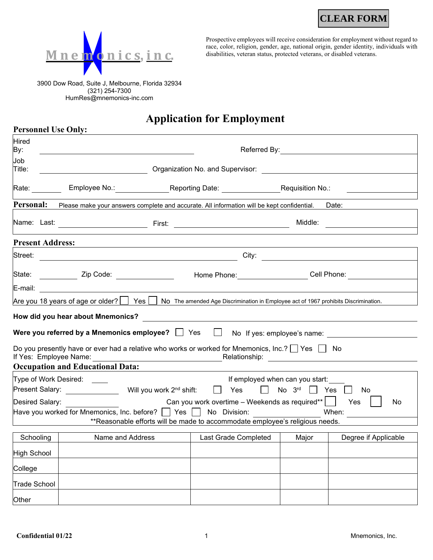**CLEAR FORM**



Prospective employees will receive consideration for employment without regard to race, color, religion, gender, age, national origin, gender identity, individuals with disabilities, veteran status, protected veterans, or disabled veterans.

3900 Dow Road, Suite J, Melbourne, Florida 32934 (321) 254-7300 HumRes@mnemonics-inc.com

**Personnel Use Only:**

## **Application for Employment**

| <b>Hired</b><br>By:                                                                                                                                                                                                                                      |                                                                                                                                         |                                                                                         |                             |       |                      |
|----------------------------------------------------------------------------------------------------------------------------------------------------------------------------------------------------------------------------------------------------------|-----------------------------------------------------------------------------------------------------------------------------------------|-----------------------------------------------------------------------------------------|-----------------------------|-------|----------------------|
| Job<br>Title:                                                                                                                                                                                                                                            | Organization No. and Supervisor: North States and Supervisor:                                                                           |                                                                                         |                             |       |                      |
| Rate:                                                                                                                                                                                                                                                    |                                                                                                                                         | Employee No.: Reporting Date: Requisition No.:                                          |                             |       |                      |
| Personal:                                                                                                                                                                                                                                                | Please make your answers complete and accurate. All information will be kept confidential.                                              |                                                                                         |                             |       | Date:                |
|                                                                                                                                                                                                                                                          |                                                                                                                                         | Middle:                                                                                 |                             |       |                      |
| <b>Present Address:</b>                                                                                                                                                                                                                                  |                                                                                                                                         |                                                                                         |                             |       |                      |
| Street:                                                                                                                                                                                                                                                  |                                                                                                                                         | City: $\qquad \qquad \qquad$<br><u> 1980 - Johann Barnett, fransk politik (f. 1980)</u> |                             |       |                      |
| State:                                                                                                                                                                                                                                                   | ____ Zip Code: ______________                                                                                                           |                                                                                         | Home Phone: Cell Phone:     |       |                      |
| E-mail:                                                                                                                                                                                                                                                  |                                                                                                                                         |                                                                                         |                             |       |                      |
|                                                                                                                                                                                                                                                          | Are you 18 years of age or older? $\Box$ Yes $\Box$ No The amended Age Discrimination in Employee act of 1967 prohibits Discrimination. |                                                                                         |                             |       |                      |
|                                                                                                                                                                                                                                                          | How did you hear about Mnemonics?                                                                                                       |                                                                                         |                             |       |                      |
|                                                                                                                                                                                                                                                          | Were you referred by a Mnemonics employee? $\Box$ Yes                                                                                   | $\perp$                                                                                 | No If yes: employee's name: |       |                      |
| Do you presently have or ever had a relative who works or worked for Mnemonics, Inc.? $\Box$ Yes $\Box$ No<br>If Yes: Employee Name:<br>Relationship: example and the set of the set of the set of the set of the set of the set of the set of the set o |                                                                                                                                         |                                                                                         |                             |       |                      |
|                                                                                                                                                                                                                                                          | <b>Occupation and Educational Data:</b>                                                                                                 |                                                                                         |                             |       |                      |
|                                                                                                                                                                                                                                                          | Type of Work Desired: ____<br>If employed when can you start:                                                                           |                                                                                         |                             |       |                      |
| Present Salary: <b>Example 20</b><br>Will you work 2 <sup>nd</sup> shift:<br>No $3^{rd}$ $\Box$<br>$\perp$<br>$\mathbf{1}$<br>Yes<br>Yes<br>No                                                                                                           |                                                                                                                                         |                                                                                         |                             |       |                      |
| Can you work overtime – Weekends as required**  <br>Desired Salary:<br>Yes<br>No<br>Have you worked for Mnemonics, Inc. before? $\vert$   Yes   $\vert$<br>No Division:<br>When:                                                                         |                                                                                                                                         |                                                                                         |                             |       |                      |
|                                                                                                                                                                                                                                                          |                                                                                                                                         | **Reasonable efforts will be made to accommodate employee's religious needs.            |                             |       |                      |
| Schooling                                                                                                                                                                                                                                                | Name and Address                                                                                                                        |                                                                                         | Last Grade Completed        | Major | Degree if Applicable |
| High School                                                                                                                                                                                                                                              |                                                                                                                                         |                                                                                         |                             |       |                      |
| College                                                                                                                                                                                                                                                  |                                                                                                                                         |                                                                                         |                             |       |                      |
| Trade School                                                                                                                                                                                                                                             |                                                                                                                                         |                                                                                         |                             |       |                      |
| Other                                                                                                                                                                                                                                                    |                                                                                                                                         |                                                                                         |                             |       |                      |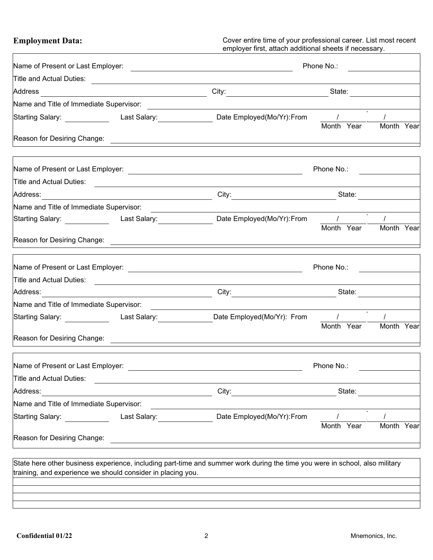**Employment Data:** Cover entire time of your professional career. List most recent employer first, attach additional sheets if necessary.

| Name of Present or Last Employer:                           | Phone No.: |                                                                                                                                                                                                                                                     |                     |            |  |
|-------------------------------------------------------------|------------|-----------------------------------------------------------------------------------------------------------------------------------------------------------------------------------------------------------------------------------------------------|---------------------|------------|--|
|                                                             |            |                                                                                                                                                                                                                                                     |                     |            |  |
|                                                             |            |                                                                                                                                                                                                                                                     |                     |            |  |
|                                                             |            |                                                                                                                                                                                                                                                     |                     |            |  |
|                                                             |            | Starting Salary: _____________  Last Salary: _____________________Date Employed(Mo/Yr):From  ___ /                                                                                                                                                  | Month Year          | Month Year |  |
|                                                             |            |                                                                                                                                                                                                                                                     |                     |            |  |
|                                                             |            |                                                                                                                                                                                                                                                     | Phone No.:          |            |  |
|                                                             |            |                                                                                                                                                                                                                                                     |                     |            |  |
|                                                             |            |                                                                                                                                                                                                                                                     |                     |            |  |
| Name and Title of Immediate Supervisor:                     |            |                                                                                                                                                                                                                                                     |                     |            |  |
|                                                             |            | Starting Salary: ____________________Last Salary:______________________Date Employed(Mo/Yr):From     /                                                                                                                                              |                     |            |  |
|                                                             |            |                                                                                                                                                                                                                                                     | Month Year          | Month Year |  |
|                                                             |            |                                                                                                                                                                                                                                                     | Phone No.:          |            |  |
|                                                             |            |                                                                                                                                                                                                                                                     |                     |            |  |
|                                                             |            |                                                                                                                                                                                                                                                     | City: State: State: |            |  |
| Name and Title of Immediate Supervisor:                     |            |                                                                                                                                                                                                                                                     |                     |            |  |
|                                                             |            | Starting Salary: _________________Last Salary:_______________Date Employed(Mo/Yr): From                                                                                                                                                             | $\mathcal{L}$       |            |  |
|                                                             |            |                                                                                                                                                                                                                                                     | Month Year          | Month Year |  |
| Name of Present or Last Employer:                           |            |                                                                                                                                                                                                                                                     | Phone No.:          |            |  |
| Title and Actual Duties:                                    |            |                                                                                                                                                                                                                                                     |                     |            |  |
| Address:                                                    |            | City:                                                                                                                                                                                                                                               | State:              |            |  |
| Name and Title of Immediate Supervisor:                     |            |                                                                                                                                                                                                                                                     |                     |            |  |
| Starting Salary: Last Salary:                               |            | Date Employed(Mo/Yr): From                                                                                                                                                                                                                          | Month Year          | Month Year |  |
| Reason for Desiring Change:                                 |            |                                                                                                                                                                                                                                                     |                     |            |  |
| training, and experience we should consider in placing you. |            | State here other business experience, including part-time and summer work during the time you were in school, also military<br><u> 1980 - Jan Samuel Barbara, martin da shekarar 1980 - An tsara 1980 - An tsara 1980 - An tsara 1980 - An tsar</u> |                     |            |  |
|                                                             |            |                                                                                                                                                                                                                                                     |                     |            |  |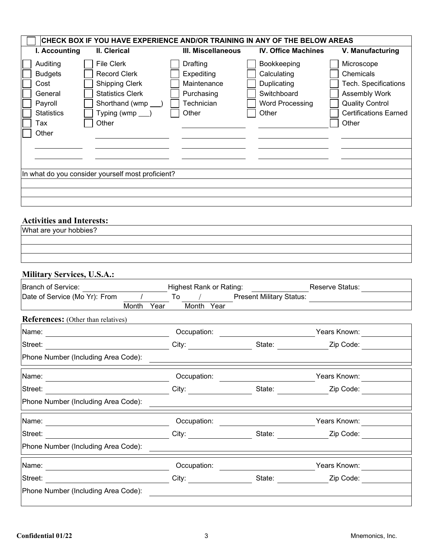| CHECK BOX IF YOU HAVE EXPERIENCE AND/OR TRAINING IN ANY OF THE BELOW AREAS                                                                                                                                                                         |                                                                            |                                                                                             |                                                                                                                                     |  |  |
|----------------------------------------------------------------------------------------------------------------------------------------------------------------------------------------------------------------------------------------------------|----------------------------------------------------------------------------|---------------------------------------------------------------------------------------------|-------------------------------------------------------------------------------------------------------------------------------------|--|--|
| I. Accounting<br>II. Clerical                                                                                                                                                                                                                      | <b>III. Miscellaneous</b>                                                  | <b>IV. Office Machines</b>                                                                  | V. Manufacturing                                                                                                                    |  |  |
| Auditing<br><b>File Clerk</b><br><b>Budgets</b><br><b>Record Clerk</b><br>Cost<br><b>Shipping Clerk</b><br><b>Statistics Clerk</b><br>General<br>Payroll<br>Shorthand (wmp<br>Typing (wmp $\qquad$ )<br><b>Statistics</b><br>Other<br>Tax<br>Other | Drafting<br>Expediting<br>Maintenance<br>Purchasing<br>Technician<br>Other | Bookkeeping<br>Calculating<br>Duplicating<br>Switchboard<br><b>Word Processing</b><br>Other | Microscope<br>Chemicals<br>Tech. Specifications<br>Assembly Work<br><b>Quality Control</b><br><b>Certifications Earned</b><br>Other |  |  |
|                                                                                                                                                                                                                                                    |                                                                            |                                                                                             |                                                                                                                                     |  |  |
| In what do you consider yourself most proficient?                                                                                                                                                                                                  |                                                                            |                                                                                             |                                                                                                                                     |  |  |
|                                                                                                                                                                                                                                                    |                                                                            |                                                                                             |                                                                                                                                     |  |  |
|                                                                                                                                                                                                                                                    |                                                                            |                                                                                             |                                                                                                                                     |  |  |
| <b>Activities and Interests:</b>                                                                                                                                                                                                                   |                                                                            |                                                                                             |                                                                                                                                     |  |  |
| What are your hobbies?                                                                                                                                                                                                                             |                                                                            |                                                                                             |                                                                                                                                     |  |  |
|                                                                                                                                                                                                                                                    |                                                                            |                                                                                             |                                                                                                                                     |  |  |
|                                                                                                                                                                                                                                                    |                                                                            |                                                                                             |                                                                                                                                     |  |  |
| <b>Military Services, U.S.A.:</b>                                                                                                                                                                                                                  |                                                                            |                                                                                             |                                                                                                                                     |  |  |
| <b>Branch of Service:</b>                                                                                                                                                                                                                          | <b>Highest Rank or Rating:</b>                                             |                                                                                             | Reserve Status:                                                                                                                     |  |  |
| $\sqrt{ }$<br>Date of Service (Mo Yr): From                                                                                                                                                                                                        | $To$ /                                                                     | <b>Present Military Status:</b>                                                             | <u>and the companion of the companion of</u>                                                                                        |  |  |
| Month<br>Year                                                                                                                                                                                                                                      | Month Year                                                                 |                                                                                             |                                                                                                                                     |  |  |
| <b>References:</b> (Other than relatives)                                                                                                                                                                                                          |                                                                            |                                                                                             |                                                                                                                                     |  |  |
| Name:                                                                                                                                                                                                                                              | Occupation:                                                                |                                                                                             | Years Known:                                                                                                                        |  |  |
| Street:                                                                                                                                                                                                                                            | City:                                                                      | State:                                                                                      | Zip Code:                                                                                                                           |  |  |
| Phone Number (Including Area Code):                                                                                                                                                                                                                |                                                                            |                                                                                             |                                                                                                                                     |  |  |
| Name: Name: 2008                                                                                                                                                                                                                                   | Occupation:                                                                |                                                                                             |                                                                                                                                     |  |  |
| Street:                                                                                                                                                                                                                                            | City:                                                                      | State: Zip Code:                                                                            |                                                                                                                                     |  |  |
| Phone Number (Including Area Code):                                                                                                                                                                                                                |                                                                            |                                                                                             |                                                                                                                                     |  |  |
| Name:<br><u> 1989 - Johann Barn, fransk politik fotograf (d. 1989)</u>                                                                                                                                                                             |                                                                            |                                                                                             |                                                                                                                                     |  |  |
| Street:<br><b>City:</b>                                                                                                                                                                                                                            |                                                                            | State: <u>Change Zip</u> Code:                                                              |                                                                                                                                     |  |  |
| Phone Number (Including Area Code):                                                                                                                                                                                                                |                                                                            |                                                                                             |                                                                                                                                     |  |  |
| Name: <u>2000 - 2000 - 2000 - 2000 - 2000 - 2000 - 2000 - 2000 - 2000 - 2000 - 2000 - 2000 - 2000 - 2000 - 2000 - 2000 - 2000 - 2000 - 2000 - 2000 - 2000 - 2000 - 2000 - 2000 - 2000 - 2000 - 2000 - 2000 - 2000 - 2000 - 2000 </u>               | Occupation:                                                                | ________________________________Years Known: _______                                        |                                                                                                                                     |  |  |
| Street:<br><u> 1980 - Johann Barn, mars ann an t-Amhain Aonaich an t-Aonaich an t-Aonaich ann an t-Aonaich ann an t-Aonaich</u>                                                                                                                    |                                                                            |                                                                                             | State: <u>Zip Code:</u>                                                                                                             |  |  |
| Phone Number (Including Area Code):                                                                                                                                                                                                                |                                                                            |                                                                                             |                                                                                                                                     |  |  |
|                                                                                                                                                                                                                                                    |                                                                            |                                                                                             |                                                                                                                                     |  |  |